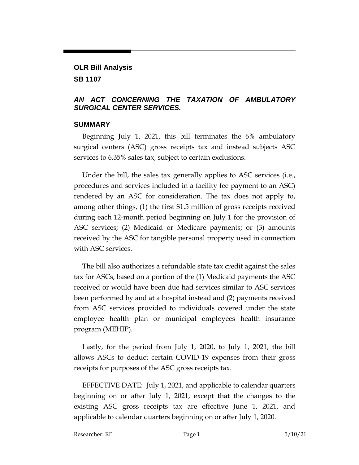# **OLR Bill Analysis SB 1107**

# *AN ACT CONCERNING THE TAXATION OF AMBULATORY SURGICAL CENTER SERVICES.*

#### **SUMMARY**

Beginning July 1, 2021, this bill terminates the 6% ambulatory surgical centers (ASC) gross receipts tax and instead subjects ASC services to 6.35% sales tax, subject to certain exclusions.

Under the bill, the sales tax generally applies to ASC services (i.e., procedures and services included in a facility fee payment to an ASC) rendered by an ASC for consideration. The tax does not apply to, among other things, (1) the first \$1.5 million of gross receipts received during each 12-month period beginning on July 1 for the provision of ASC services; (2) Medicaid or Medicare payments; or (3) amounts received by the ASC for tangible personal property used in connection with ASC services.

The bill also authorizes a refundable state tax credit against the sales tax for ASCs, based on a portion of the (1) Medicaid payments the ASC received or would have been due had services similar to ASC services been performed by and at a hospital instead and (2) payments received from ASC services provided to individuals covered under the state employee health plan or municipal employees health insurance program (MEHIP).

Lastly, for the period from July 1, 2020, to July 1, 2021, the bill allows ASCs to deduct certain COVID-19 expenses from their gross receipts for purposes of the ASC gross receipts tax.

EFFECTIVE DATE: July 1, 2021, and applicable to calendar quarters beginning on or after July 1, 2021, except that the changes to the existing ASC gross receipts tax are effective June 1, 2021, and applicable to calendar quarters beginning on or after July 1, 2020.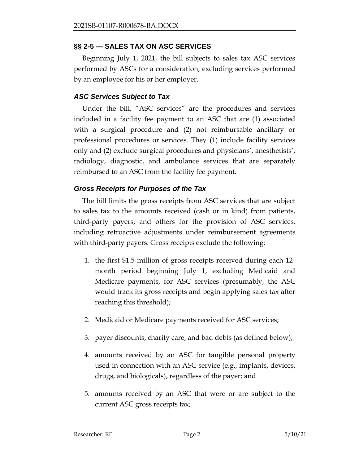# **§§ 2-5 — SALES TAX ON ASC SERVICES**

Beginning July 1, 2021, the bill subjects to sales tax ASC services performed by ASCs for a consideration, excluding services performed by an employee for his or her employer.

### *ASC Services Subject to Tax*

Under the bill, "ASC services" are the procedures and services included in a facility fee payment to an ASC that are (1) associated with a surgical procedure and (2) not reimbursable ancillary or professional procedures or services. They (1) include facility services only and (2) exclude surgical procedures and physicians', anesthetists', radiology, diagnostic, and ambulance services that are separately reimbursed to an ASC from the facility fee payment.

### *Gross Receipts for Purposes of the Tax*

The bill limits the gross receipts from ASC services that are subject to sales tax to the amounts received (cash or in kind) from patients, third-party payers, and others for the provision of ASC services, including retroactive adjustments under reimbursement agreements with third-party payers. Gross receipts exclude the following:

- 1. the first \$1.5 million of gross receipts received during each 12 month period beginning July 1, excluding Medicaid and Medicare payments, for ASC services (presumably, the ASC would track its gross receipts and begin applying sales tax after reaching this threshold);
- 2. Medicaid or Medicare payments received for ASC services;
- 3. payer discounts, charity care, and bad debts (as defined below);
- 4. amounts received by an ASC for tangible personal property used in connection with an ASC service (e.g., implants, devices, drugs, and biologicals), regardless of the payer; and
- 5. amounts received by an ASC that were or are subject to the current ASC gross receipts tax;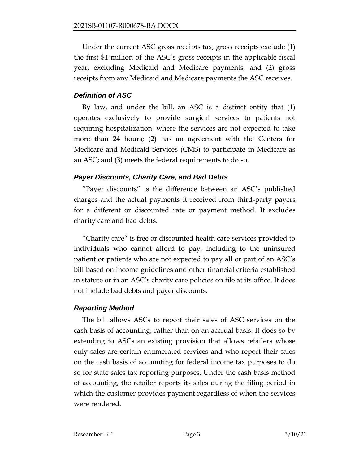Under the current ASC gross receipts tax, gross receipts exclude (1) the first \$1 million of the ASC's gross receipts in the applicable fiscal year, excluding Medicaid and Medicare payments, and (2) gross receipts from any Medicaid and Medicare payments the ASC receives.

### *Definition of ASC*

By law, and under the bill, an ASC is a distinct entity that (1) operates exclusively to provide surgical services to patients not requiring hospitalization, where the services are not expected to take more than 24 hours; (2) has an agreement with the Centers for Medicare and Medicaid Services (CMS) to participate in Medicare as an ASC; and (3) meets the federal requirements to do so.

### *Payer Discounts, Charity Care, and Bad Debts*

"Payer discounts" is the difference between an ASC's published charges and the actual payments it received from third-party payers for a different or discounted rate or payment method. It excludes charity care and bad debts.

"Charity care" is free or discounted health care services provided to individuals who cannot afford to pay, including to the uninsured patient or patients who are not expected to pay all or part of an ASC's bill based on income guidelines and other financial criteria established in statute or in an ASC's charity care policies on file at its office. It does not include bad debts and payer discounts.

#### *Reporting Method*

The bill allows ASCs to report their sales of ASC services on the cash basis of accounting, rather than on an accrual basis. It does so by extending to ASCs an existing provision that allows retailers whose only sales are certain enumerated services and who report their sales on the cash basis of accounting for federal income tax purposes to do so for state sales tax reporting purposes. Under the cash basis method of accounting, the retailer reports its sales during the filing period in which the customer provides payment regardless of when the services were rendered.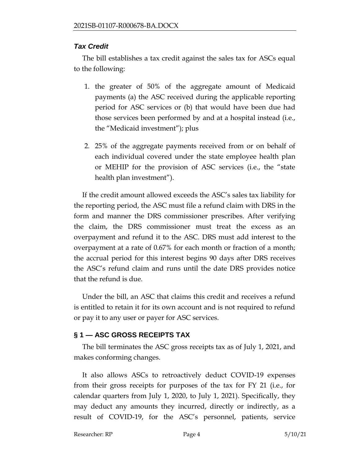# *Tax Credit*

The bill establishes a tax credit against the sales tax for ASCs equal to the following:

- 1. the greater of 50% of the aggregate amount of Medicaid payments (a) the ASC received during the applicable reporting period for ASC services or (b) that would have been due had those services been performed by and at a hospital instead (i.e., the "Medicaid investment"); plus
- 2. 25% of the aggregate payments received from or on behalf of each individual covered under the state employee health plan or MEHIP for the provision of ASC services (i.e., the "state health plan investment").

If the credit amount allowed exceeds the ASC's sales tax liability for the reporting period, the ASC must file a refund claim with DRS in the form and manner the DRS commissioner prescribes. After verifying the claim, the DRS commissioner must treat the excess as an overpayment and refund it to the ASC. DRS must add interest to the overpayment at a rate of 0.67% for each month or fraction of a month; the accrual period for this interest begins 90 days after DRS receives the ASC's refund claim and runs until the date DRS provides notice that the refund is due.

Under the bill, an ASC that claims this credit and receives a refund is entitled to retain it for its own account and is not required to refund or pay it to any user or payer for ASC services.

# **§ 1 — ASC GROSS RECEIPTS TAX**

The bill terminates the ASC gross receipts tax as of July 1, 2021, and makes conforming changes.

It also allows ASCs to retroactively deduct COVID-19 expenses from their gross receipts for purposes of the tax for FY 21 (i.e., for calendar quarters from July 1, 2020, to July 1, 2021). Specifically, they may deduct any amounts they incurred, directly or indirectly, as a result of COVID-19, for the ASC's personnel, patients, service